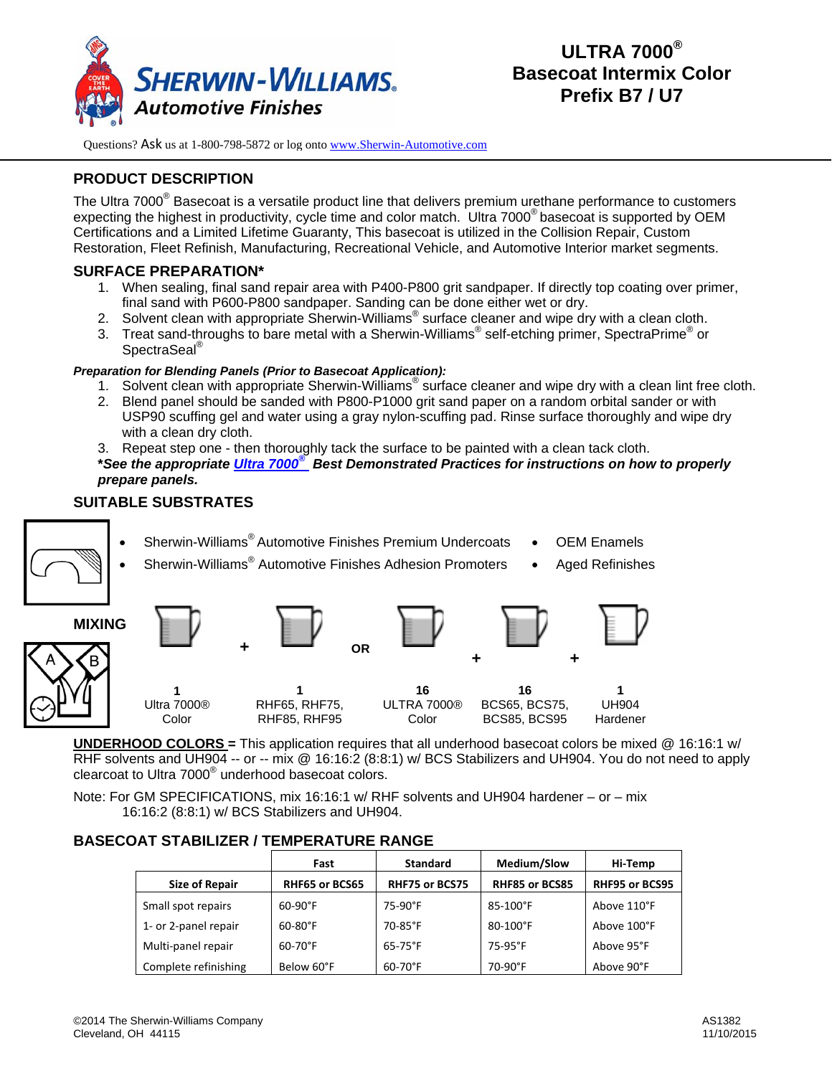

# **PRODUCT DESCRIPTION**

The Ultra 7000<sup>®</sup> Basecoat is a versatile product line that delivers premium urethane performance to customers expecting the highest in productivity, cycle time and color match. Ultra 7000® basecoat is supported by OEM Certifications and a Limited Lifetime Guaranty, This basecoat is utilized in the Collision Repair, Custom Restoration, Fleet Refinish, Manufacturing, Recreational Vehicle, and Automotive Interior market segments.

## **SURFACE PREPARATION\***

- 1. When sealing, final sand repair area with P400-P800 grit sandpaper. If directly top coating over primer, final sand with P600-P800 sandpaper. Sanding can be done either wet or dry.
- 2. Solvent clean with appropriate Sherwin-Williams<sup>®</sup> surface cleaner and wipe dry with a clean cloth.
- 3. Treat sand-throughs to bare metal with a Sherwin-Williams® self-etching primer, SpectraPrime® or SpectraSeal® L

### *Preparation for Blending Panels (Prior to Basecoat Application):*

- 1. Solvent clean with appropriate Sherwin-Williams<sup>®</sup> surface cleaner and wipe dry with a clean lint free cloth.
- 2. Blend panel should be sanded with P800-P1000 grit sand paper on a random orbital sander or with USP90 scuffing gel and water using a gray nylon-scuffing pad. Rinse surface thoroughly and wipe dry with a clean dry cloth.
- 3. Repeat step one then thoroughly tack the surface to be painted with a clean tack cloth.

**\****See the appropriate Ultra 7000® Best Demonstrated Practices for instructions on how to properly prepare panels.*

## **SUITABLE SUBSTRATES**

- Sherwin-Williams® Automotive Finishes Premium Undercoats
- 
- Sherwin-Williams<sup>®</sup> Automotive Finishes Adhesion Promoters Aged Refinishes
- OEM Enamels
- **MIXING + + 1**  Ultra 7000® Color **1**  RHF65, RHF75, RHF85, RHF95 **1**  UH904 Hardener **+ OR 16** ULTRA 7000® Color **16** BCS65, BCS75, BCS85, BCS95

**UNDERHOOD COLORS =** This application requires that all underhood basecoat colors be mixed @ 16:16:1 w/ RHF solvents and UH904 -- or -- mix @ 16:16:2 (8:8:1) w/ BCS Stabilizers and UH904. You do not need to apply clearcoat to Ultra 7000<sup>®</sup> underhood basecoat colors.

Note: For GM SPECIFICATIONS, mix 16:16:1 w/ RHF solvents and UH904 hardener – or – mix 16:16:2 (8:8:1) w/ BCS Stabilizers and UH904.

## **BASECOAT STABILIZER / TEMPERATURE RANGE**

|                       | Fast             | <b>Standard</b>       | Medium/Slow           | Hi-Temp               |
|-----------------------|------------------|-----------------------|-----------------------|-----------------------|
| <b>Size of Repair</b> | RHF65 or BCS65   | <b>RHF75 or BCS75</b> | <b>RHF85 or BCS85</b> | <b>RHF95 or BCS95</b> |
| Small spot repairs    | $60-90^{\circ}F$ | 75-90°F               | $85-100^{\circ}$ F    | Above 110°F           |
| 1- or 2-panel repair  | $60-80^{\circ}F$ | 70-85°F               | $80 - 100^{\circ}$ F  | Above 100°F           |
| Multi-panel repair    | $60 - 70$ °F     | $65-75$ °F            | $75-95$ °F            | Above 95°F            |
| Complete refinishing  | Below 60°F       | $60-70$ °F            | 70-90°F               | Above 90°F            |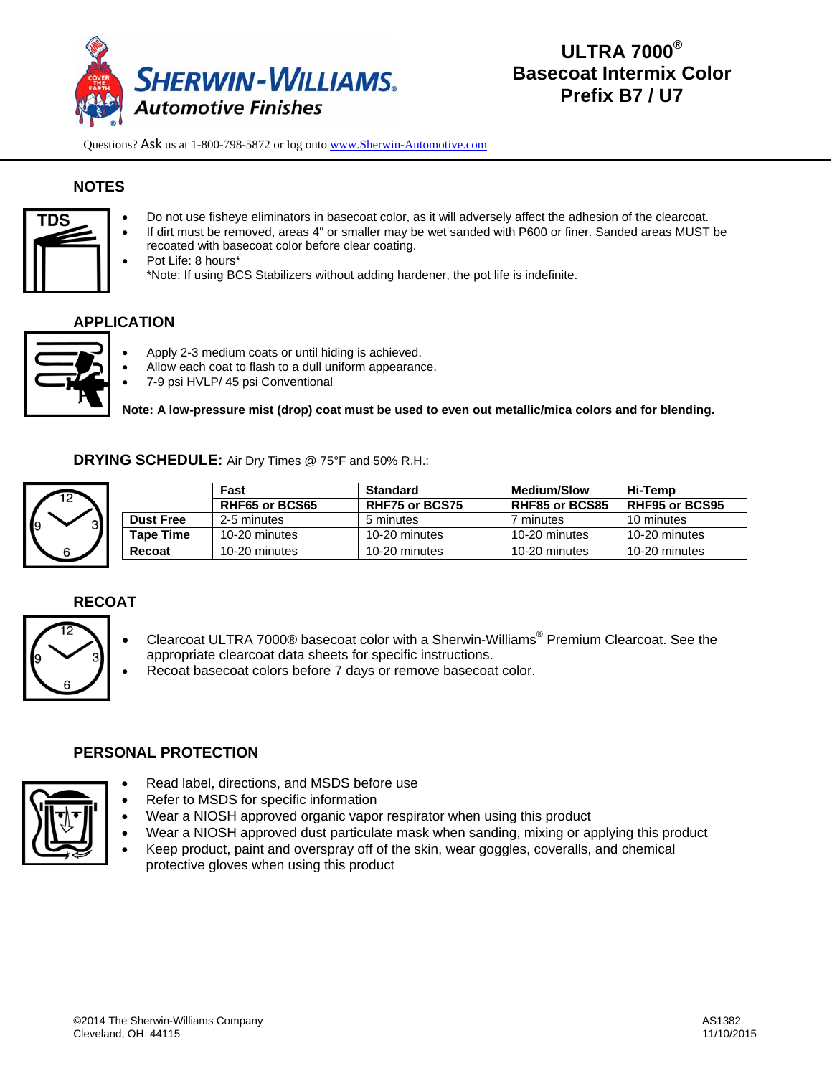

# **NOTES**



- Do not use fisheye eliminators in basecoat color, as it will adversely affect the adhesion of the clearcoat.
- If dirt must be removed, areas 4" or smaller may be wet sanded with P600 or finer. Sanded areas MUST be recoated with basecoat color before clear coating.
- Pot Life: 8 hours\* \*Note: If using BCS Stabilizers without adding hardener, the pot life is indefinite.

## **APPLICATION**



- Apply 2-3 medium coats or until hiding is achieved.
- Allow each coat to flash to a dull uniform appearance.
- 7-9 psi HVLP/ 45 psi Conventional

**Note: A low-pressure mist (drop) coat must be used to even out metallic/mica colors and for blending.** 

**DRYING SCHEDULE:** Air Dry Times @ 75°F and 50% R.H.:



|  |                  | Fast                  | <b>Standard</b>       | <b>Medium/Slow</b> | Hi-Temp               |
|--|------------------|-----------------------|-----------------------|--------------------|-----------------------|
|  |                  | <b>RHF65 or BCS65</b> | <b>RHF75 or BCS75</b> | RHF85 or BCS85     | <b>RHF95 or BCS95</b> |
|  | <b>Dust Free</b> | 2-5 minutes           | 5 minutes             | minutes            | 10 minutes            |
|  | Tape Time        | 10-20 minutes         | 10-20 minutes         | 10-20 minutes      | 10-20 minutes         |
|  | Recoat           | 10-20 minutes         | 10-20 minutes         | 10-20 minutes      | 10-20 minutes         |

# **RECOAT**

- Clearcoat ULTRA 7000® basecoat color with a Sherwin-Williams® Premium Clearcoat. See the appropriate clearcoat data sheets for specific instructions.
	- Recoat basecoat colors before 7 days or remove basecoat color.

### **PERSONAL PROTECTION**



- Read label, directions, and MSDS before use
- Refer to MSDS for specific information
- Wear a NIOSH approved organic vapor respirator when using this product
- Wear a NIOSH approved dust particulate mask when sanding, mixing or applying this product
- Keep product, paint and overspray off of the skin, wear goggles, coveralls, and chemical protective gloves when using this product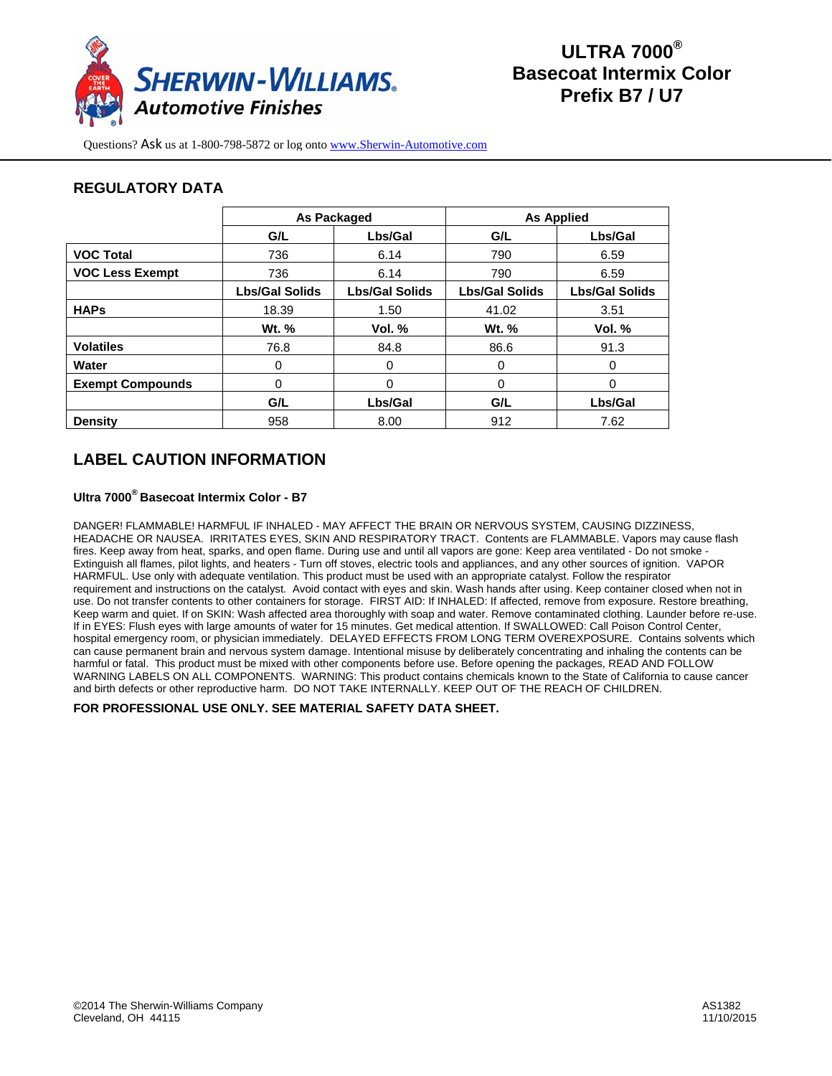

## **REGULATORY DATA**

|                         | <b>As Packaged</b>    |                       | <b>As Applied</b>     |                       |
|-------------------------|-----------------------|-----------------------|-----------------------|-----------------------|
|                         | G/L                   | Lbs/Gal               | G/L                   | Lbs/Gal               |
| <b>VOC Total</b>        | 736                   | 6.14                  | 790                   | 6.59                  |
| <b>VOC Less Exempt</b>  | 736                   | 6.14                  | 790                   | 6.59                  |
|                         | <b>Lbs/Gal Solids</b> | <b>Lbs/Gal Solids</b> | <b>Lbs/Gal Solids</b> | <b>Lbs/Gal Solids</b> |
| <b>HAPs</b>             | 18.39                 | 1.50                  | 41.02                 | 3.51                  |
|                         | Wt. %                 | Vol. $%$              | Wt. %                 | Vol. $%$              |
| <b>Volatiles</b>        | 76.8                  | 84.8                  | 86.6                  | 91.3                  |
| Water                   | 0                     | 0                     | 0                     | 0                     |
| <b>Exempt Compounds</b> | 0                     | 0                     | 0                     | 0                     |
|                         | G/L                   | Lbs/Gal               | G/L                   | Lbs/Gal               |
| <b>Density</b>          | 958                   | 8.00                  | 912                   | 7.62                  |

# **LABEL CAUTION INFORMATION**

#### **Ultra 7000® Basecoat Intermix Color - B7**

DANGER! FLAMMABLE! HARMFUL IF INHALED - MAY AFFECT THE BRAIN OR NERVOUS SYSTEM, CAUSING DIZZINESS, HEADACHE OR NAUSEA. IRRITATES EYES, SKIN AND RESPIRATORY TRACT. Contents are FLAMMABLE. Vapors may cause flash fires. Keep away from heat, sparks, and open flame. During use and until all vapors are gone: Keep area ventilated - Do not smoke - Extinguish all flames, pilot lights, and heaters - Turn off stoves, electric tools and appliances, and any other sources of ignition. VAPOR HARMFUL. Use only with adequate ventilation. This product must be used with an appropriate catalyst. Follow the respirator requirement and instructions on the catalyst. Avoid contact with eyes and skin. Wash hands after using. Keep container closed when not in use. Do not transfer contents to other containers for storage. FIRST AID: If INHALED: If affected, remove from exposure. Restore breathing, Keep warm and quiet. If on SKIN: Wash affected area thoroughly with soap and water. Remove contaminated clothing. Launder before re-use. If in EYES: Flush eyes with large amounts of water for 15 minutes. Get medical attention. If SWALLOWED: Call Poison Control Center, hospital emergency room, or physician immediately. DELAYED EFFECTS FROM LONG TERM OVEREXPOSURE. Contains solvents which can cause permanent brain and nervous system damage. Intentional misuse by deliberately concentrating and inhaling the contents can be harmful or fatal. This product must be mixed with other components before use. Before opening the packages, READ AND FOLLOW WARNING LABELS ON ALL COMPONENTS. WARNING: This product contains chemicals known to the State of California to cause cancer and birth defects or other reproductive harm. DO NOT TAKE INTERNALLY. KEEP OUT OF THE REACH OF CHILDREN.

**FOR PROFESSIONAL USE ONLY. SEE MATERIAL SAFETY DATA SHEET.**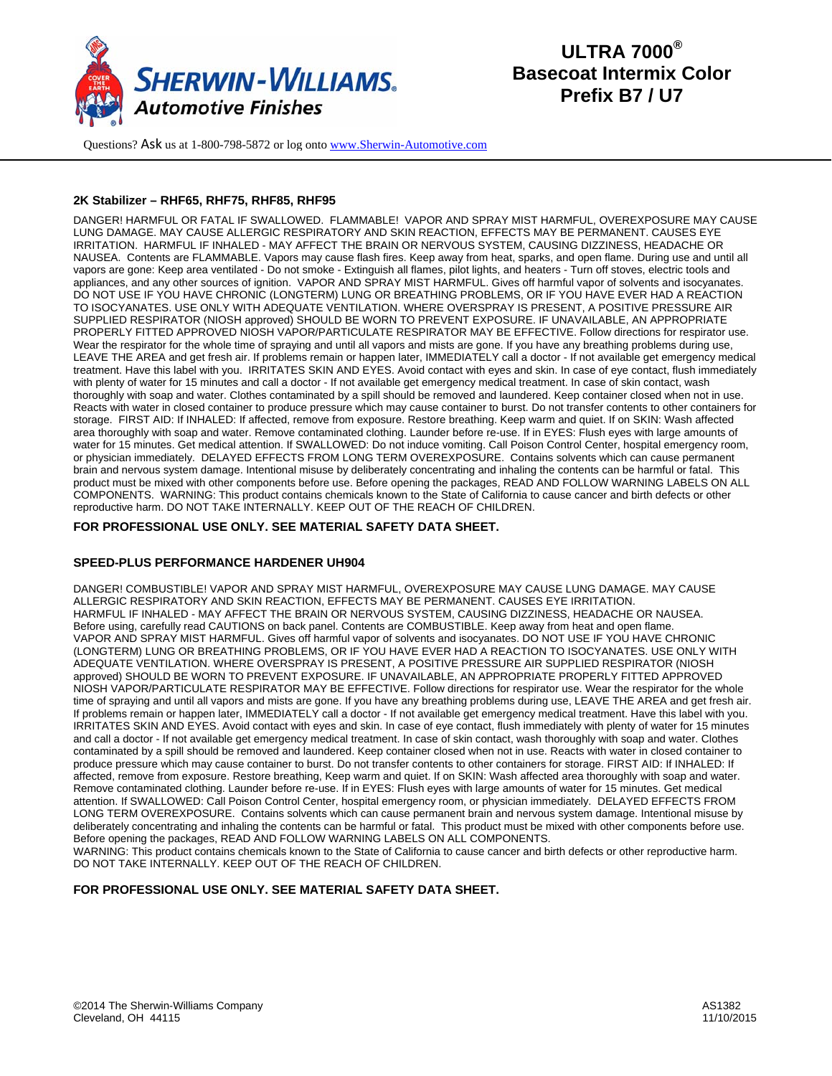

#### **2K Stabilizer – RHF65, RHF75, RHF85, RHF95**

DANGER! HARMFUL OR FATAL IF SWALLOWED. FLAMMABLE! VAPOR AND SPRAY MIST HARMFUL, OVEREXPOSURE MAY CAUSE LUNG DAMAGE. MAY CAUSE ALLERGIC RESPIRATORY AND SKIN REACTION, EFFECTS MAY BE PERMANENT. CAUSES EYE IRRITATION. HARMFUL IF INHALED - MAY AFFECT THE BRAIN OR NERVOUS SYSTEM, CAUSING DIZZINESS, HEADACHE OR NAUSEA. Contents are FLAMMABLE. Vapors may cause flash fires. Keep away from heat, sparks, and open flame. During use and until all vapors are gone: Keep area ventilated - Do not smoke - Extinguish all flames, pilot lights, and heaters - Turn off stoves, electric tools and appliances, and any other sources of ignition. VAPOR AND SPRAY MIST HARMFUL. Gives off harmful vapor of solvents and isocyanates. DO NOT USE IF YOU HAVE CHRONIC (LONGTERM) LUNG OR BREATHING PROBLEMS, OR IF YOU HAVE EVER HAD A REACTION TO ISOCYANATES. USE ONLY WITH ADEQUATE VENTILATION. WHERE OVERSPRAY IS PRESENT, A POSITIVE PRESSURE AIR SUPPLIED RESPIRATOR (NIOSH approved) SHOULD BE WORN TO PREVENT EXPOSURE. IF UNAVAILABLE, AN APPROPRIATE PROPERLY FITTED APPROVED NIOSH VAPOR/PARTICULATE RESPIRATOR MAY BE EFFECTIVE. Follow directions for respirator use. Wear the respirator for the whole time of spraying and until all vapors and mists are gone. If you have any breathing problems during use, LEAVE THE AREA and get fresh air. If problems remain or happen later, IMMEDIATELY call a doctor - If not available get emergency medical treatment. Have this label with you. IRRITATES SKIN AND EYES. Avoid contact with eyes and skin. In case of eye contact, flush immediately with plenty of water for 15 minutes and call a doctor - If not available get emergency medical treatment. In case of skin contact, wash thoroughly with soap and water. Clothes contaminated by a spill should be removed and laundered. Keep container closed when not in use. Reacts with water in closed container to produce pressure which may cause container to burst. Do not transfer contents to other containers for storage. FIRST AID: If INHALED: If affected, remove from exposure. Restore breathing. Keep warm and quiet. If on SKIN: Wash affected area thoroughly with soap and water. Remove contaminated clothing. Launder before re-use. If in EYES: Flush eyes with large amounts of water for 15 minutes. Get medical attention. If SWALLOWED: Do not induce vomiting. Call Poison Control Center, hospital emergency room, or physician immediately. DELAYED EFFECTS FROM LONG TERM OVEREXPOSURE. Contains solvents which can cause permanent brain and nervous system damage. Intentional misuse by deliberately concentrating and inhaling the contents can be harmful or fatal. This product must be mixed with other components before use. Before opening the packages, READ AND FOLLOW WARNING LABELS ON ALL COMPONENTS. WARNING: This product contains chemicals known to the State of California to cause cancer and birth defects or other reproductive harm. DO NOT TAKE INTERNALLY. KEEP OUT OF THE REACH OF CHILDREN.

#### **FOR PROFESSIONAL USE ONLY. SEE MATERIAL SAFETY DATA SHEET.**

#### **SPEED-PLUS PERFORMANCE HARDENER UH904**

DANGER! COMBUSTIBLE! VAPOR AND SPRAY MIST HARMFUL, OVEREXPOSURE MAY CAUSE LUNG DAMAGE. MAY CAUSE ALLERGIC RESPIRATORY AND SKIN REACTION, EFFECTS MAY BE PERMANENT. CAUSES EYE IRRITATION. HARMFUL IF INHALED - MAY AFFECT THE BRAIN OR NERVOUS SYSTEM, CAUSING DIZZINESS, HEADACHE OR NAUSEA. Before using, carefully read CAUTIONS on back panel. Contents are COMBUSTIBLE. Keep away from heat and open flame. VAPOR AND SPRAY MIST HARMFUL. Gives off harmful vapor of solvents and isocyanates. DO NOT USE IF YOU HAVE CHRONIC (LONGTERM) LUNG OR BREATHING PROBLEMS, OR IF YOU HAVE EVER HAD A REACTION TO ISOCYANATES. USE ONLY WITH ADEQUATE VENTILATION. WHERE OVERSPRAY IS PRESENT, A POSITIVE PRESSURE AIR SUPPLIED RESPIRATOR (NIOSH approved) SHOULD BE WORN TO PREVENT EXPOSURE. IF UNAVAILABLE, AN APPROPRIATE PROPERLY FITTED APPROVED NIOSH VAPOR/PARTICULATE RESPIRATOR MAY BE EFFECTIVE. Follow directions for respirator use. Wear the respirator for the whole time of spraying and until all vapors and mists are gone. If you have any breathing problems during use, LEAVE THE AREA and get fresh air. If problems remain or happen later, IMMEDIATELY call a doctor - If not available get emergency medical treatment. Have this label with you. IRRITATES SKIN AND EYES. Avoid contact with eyes and skin. In case of eye contact, flush immediately with plenty of water for 15 minutes and call a doctor - If not available get emergency medical treatment. In case of skin contact, wash thoroughly with soap and water. Clothes contaminated by a spill should be removed and laundered. Keep container closed when not in use. Reacts with water in closed container to produce pressure which may cause container to burst. Do not transfer contents to other containers for storage. FIRST AID: If INHALED: If affected, remove from exposure. Restore breathing, Keep warm and quiet. If on SKIN: Wash affected area thoroughly with soap and water. Remove contaminated clothing. Launder before re-use. If in EYES: Flush eyes with large amounts of water for 15 minutes. Get medical attention. If SWALLOWED: Call Poison Control Center, hospital emergency room, or physician immediately. DELAYED EFFECTS FROM LONG TERM OVEREXPOSURE. Contains solvents which can cause permanent brain and nervous system damage. Intentional misuse by deliberately concentrating and inhaling the contents can be harmful or fatal. This product must be mixed with other components before use. Before opening the packages, READ AND FOLLOW WARNING LABELS ON ALL COMPONENTS. WARNING: This product contains chemicals known to the State of California to cause cancer and birth defects or other reproductive harm.

DO NOT TAKE INTERNALLY. KEEP OUT OF THE REACH OF CHILDREN.

#### **FOR PROFESSIONAL USE ONLY. SEE MATERIAL SAFETY DATA SHEET.**